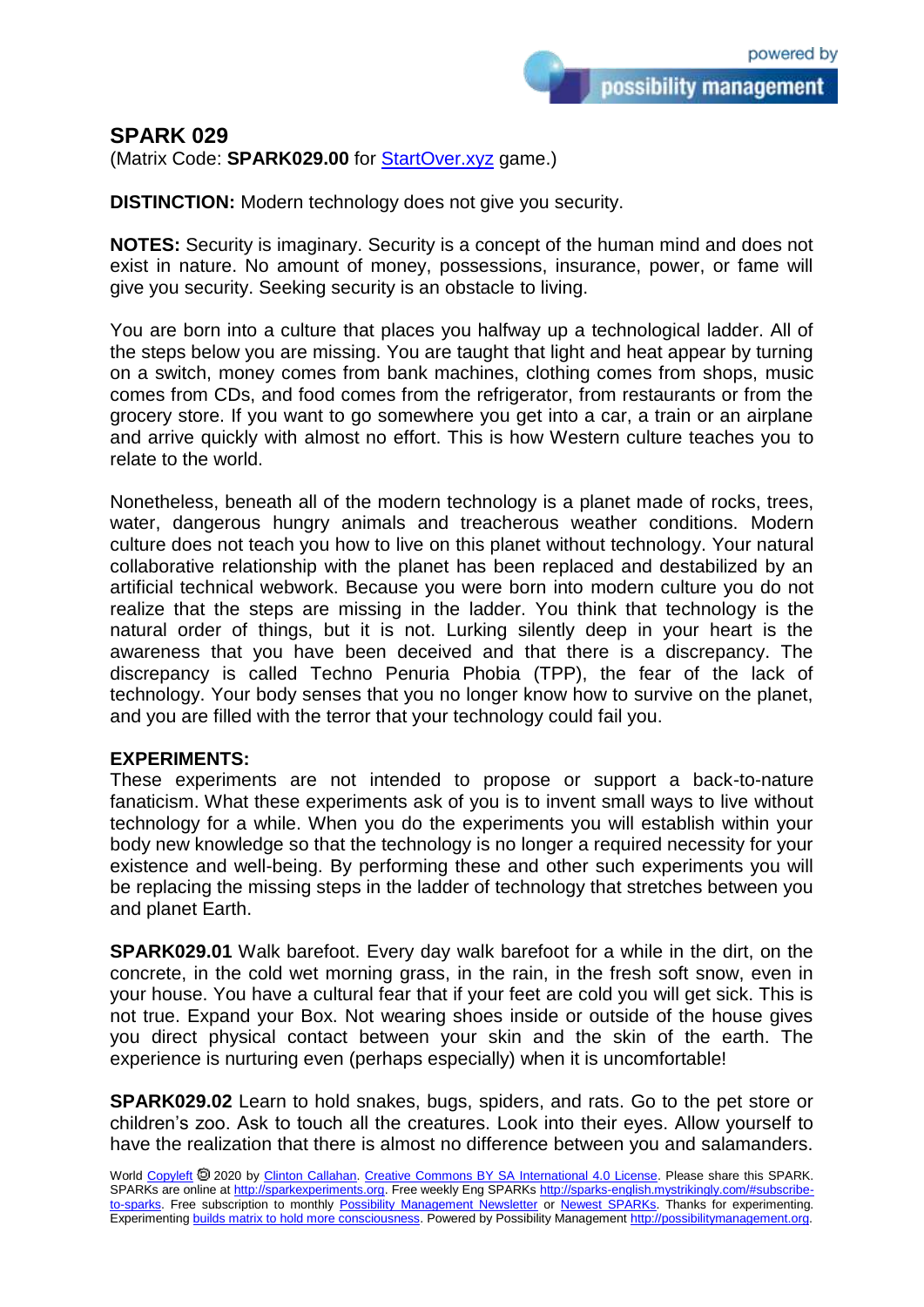## **SPARK 029**

(Matrix Code: **SPARK029.00** for **StartOver.xyz** game.)

**DISTINCTION:** Modern technology does not give you security.

**NOTES:** Security is imaginary. Security is a concept of the human mind and does not exist in nature. No amount of money, possessions, insurance, power, or fame will give you security. Seeking security is an obstacle to living.

You are born into a culture that places you halfway up a technological ladder. All of the steps below you are missing. You are taught that light and heat appear by turning on a switch, money comes from bank machines, clothing comes from shops, music comes from CDs, and food comes from the refrigerator, from restaurants or from the grocery store. If you want to go somewhere you get into a car, a train or an airplane and arrive quickly with almost no effort. This is how Western culture teaches you to relate to the world.

Nonetheless, beneath all of the modern technology is a planet made of rocks, trees, water, dangerous hungry animals and treacherous weather conditions. Modern culture does not teach you how to live on this planet without technology. Your natural collaborative relationship with the planet has been replaced and destabilized by an artificial technical webwork. Because you were born into modern culture you do not realize that the steps are missing in the ladder. You think that technology is the natural order of things, but it is not. Lurking silently deep in your heart is the awareness that you have been deceived and that there is a discrepancy. The discrepancy is called Techno Penuria Phobia (TPP), the fear of the lack of technology. Your body senses that you no longer know how to survive on the planet, and you are filled with the terror that your technology could fail you.

## **EXPERIMENTS:**

These experiments are not intended to propose or support a back-to-nature fanaticism. What these experiments ask of you is to invent small ways to live without technology for a while. When you do the experiments you will establish within your body new knowledge so that the technology is no longer a required necessity for your existence and well-being. By performing these and other such experiments you will be replacing the missing steps in the ladder of technology that stretches between you and planet Earth.

**SPARK029.01** Walk barefoot. Every day walk barefoot for a while in the dirt, on the concrete, in the cold wet morning grass, in the rain, in the fresh soft snow, even in your house. You have a cultural fear that if your feet are cold you will get sick. This is not true. Expand your Box. Not wearing shoes inside or outside of the house gives you direct physical contact between your skin and the skin of the earth. The experience is nurturing even (perhaps especially) when it is uncomfortable!

**SPARK029.02** Learn to hold snakes, bugs, spiders, and rats. Go to the pet store or children's zoo. Ask to touch all the creatures. Look into their eyes. Allow yourself to have the realization that there is almost no difference between you and salamanders.